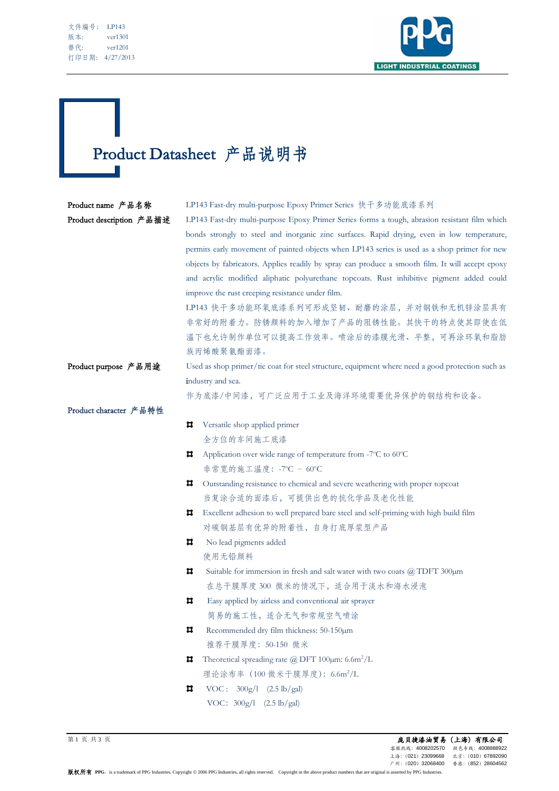| 文件编号: | LP143     |
|-------|-----------|
| 版本:   | ver1301   |
| 替代:   | ver1201   |
| 打印日期: | 4/27/2013 |

Ī



# Product Datasheet 产品说明书

| Product name 产品名称        | LP143 Fast-dry multi-purpose Epoxy Primer Series 快干多功能底漆系列                                       |  |  |
|--------------------------|--------------------------------------------------------------------------------------------------|--|--|
| Product description 产品描述 | LP143 Fast-dry multi-purpose Epoxy Primer Series forms a tough, abrasion resistant film which    |  |  |
|                          | bonds strongly to steel and inorganic zinc surfaces. Rapid drying, even in low temperature,      |  |  |
|                          | permits early movement of painted objects when LP143 series is used as a shop primer for new     |  |  |
|                          | objects by fabricators. Applies readily by spray can produce a smooth film. It will accept epoxy |  |  |
|                          | and acrylic modified aliphatic polyurethane topcoats. Rust inhibitive pigment added could        |  |  |
|                          | improve the rust creeping resistance under film.                                                 |  |  |
|                          | LP143 快干多功能环氧底漆系列可形成坚韧、耐磨的涂层,并对钢铁和无机锌涂层具有                                                        |  |  |
|                          | 非常好的附着力。防锈颜料的加入增加了产品的阻锈性能。其快干的特点使其即使在低                                                           |  |  |
|                          | 温下也允许制作单位可以提高工作效率。喷涂后的漆膜光滑、平整,可再涂环氧和脂肪                                                           |  |  |
|                          | 族丙烯酸聚氨酯面漆。                                                                                       |  |  |
| Product purpose 产品用途     | Used as shop primer/tie coat for steel structure, equipment where need a good protection such as |  |  |
|                          | industry and sea.                                                                                |  |  |
|                          | 作为底漆/中间漆,可广泛应用于工业及海洋环境需要优异保护的钢结构和设备。                                                             |  |  |
| Product character 产品特性   |                                                                                                  |  |  |
| ᄑ                        | Versatile shop applied primer                                                                    |  |  |
|                          | 全方位的车间施工底漆                                                                                       |  |  |
| ᄇ                        | Application over wide range of temperature from -7°C to 60°C                                     |  |  |
|                          | 非常宽的施工温度: -7°C - 60°C                                                                            |  |  |
| ᄑ                        | Outstanding resistance to chemical and severe weathering with proper topcoat                     |  |  |
|                          | 当复涂合适的面漆后,可提供出色的抗化学品及老化性能                                                                        |  |  |
| ᄑ                        | Excellent adhesion to well prepared bare steel and self-priming with high build film             |  |  |
|                          | 对碳钢基层有优异的附着性,自身打底厚浆型产品                                                                           |  |  |
| ᄇ                        | No lead pigments added                                                                           |  |  |
|                          | 使用无铅颜料                                                                                           |  |  |
| Ħ.                       | Suitable for immersion in fresh and salt water with two coats $\omega$ TDFT 300um                |  |  |
|                          | 在总干膜厚度300 微米的情况下, 适合用于淡水和海水浸泡                                                                    |  |  |
| ᄇ                        | Easy applied by airless and conventional air sprayer                                             |  |  |
|                          | 简易的施工性, 适合无气和常规空气喷涂                                                                              |  |  |
| Ħ                        | Recommended dry film thickness: 50-150µm                                                         |  |  |
|                          | 推荐干膜厚度: 50-150 微米                                                                                |  |  |
| ᄇ                        | Theoretical spreading rate $\omega$ DFT 100 $\mu$ m: 6.6m <sup>2</sup> /L                        |  |  |
|                          | 理论涂布率 (100 微米干膜厚度): 6.6m <sup>2</sup> /L                                                         |  |  |
| ᄇ                        | $VOC: 300g/1$ (2.5 lb/gal)                                                                       |  |  |
|                          | VOC: 300g/l (2.5 lb/gal)                                                                         |  |  |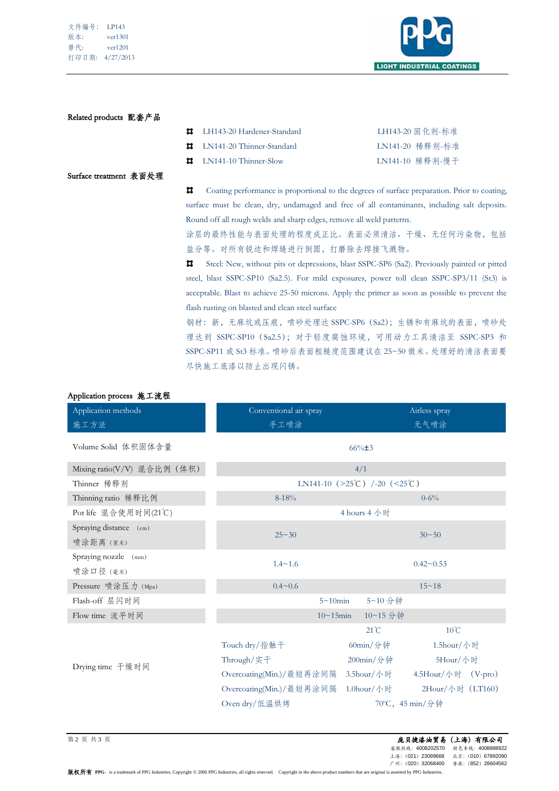| 文件编号: | LP143     |
|-------|-----------|
| 版本:   | ver1301   |
| 替代:   | ver1201   |
| 打印日期: | 4/27/2013 |



### Related products 配套产品

| LH143-20 Hardener-Standard          | LH143-20 固化剂-标准 |
|-------------------------------------|-----------------|
| <b>LE</b> LN141-20 Thinner-Standard | LN141-20 稀释剂-标准 |
| $\Box$ LN141-10 Thinner-Slow        | LN141-10 稀释剂-慢干 |

#### Surface treatment 表面处理

Coating performance is proportional to the degrees of surface preparation. Prior to coating,  $\pmb{\Pi}$ surface must be clean, dry, undamaged and free of all contaminants, including salt deposits. Round off all rough welds and sharp edges, remove all weld patterns.

涂层的最终性能与表面处理的程度成正比。表面必须清洁、干燥、无任何污染物,包括 盐分等。对所有锐边和焊缝进行倒圆,打磨除去焊接飞溅物。

 $\overline{\mathbf{u}}$ Steel: New, without pits or depressions, blast SSPC-SP6 (Sa2). Previously painted or pitted steel, blast SSPC-SP10 (Sa2.5). For mild exposures, power toll clean SSPC-SP3/11 (St3) is acceptable. Blast to achieve 25-50 microns. Apply the primer as soon as possible to prevent the flash rusting on blasted and clean steel surface

钢材:新,无麻坑或压痕,喷砂处理达 SSPC-SP6(Sa2);生锈和有麻坑的表面,喷砂处 理达到 SSPC-SP10 (Sa2.5); 对于轻度腐蚀环境, 可用动力工具清洁至 SSPC-SP3 和 SSPC-SP11 或 St3 标准。喷砂后表面粗糙度范围建议在 25~50 微米。处理好的清洁表面要 尽快施工底漆以防止出现闪锈。

| Application methods                 | Conventional air spray                                                                           |                               | Airless spray      |  |
|-------------------------------------|--------------------------------------------------------------------------------------------------|-------------------------------|--------------------|--|
| 施工方法                                | 手工喷涂                                                                                             |                               | 无气喷涂               |  |
| Volume Solid 体积固体含量                 | $66\% \pm 3$                                                                                     |                               |                    |  |
| Mixing ratio(V/V) 混合比例 (体积)         | 4/1                                                                                              |                               |                    |  |
| Thinner 稀释剂                         |                                                                                                  | LN141-10 (>25°C) /-20 (<25°C) |                    |  |
| Thinning ratio 稀释比例                 | $8-18%$                                                                                          |                               | $0 - 6\%$          |  |
| Pot life 混合使用时间(21℃)                | 4 hours 4 小时                                                                                     |                               |                    |  |
| Spraying distance (cm)<br>喷涂距离 (厘米) | $25 - 30$                                                                                        |                               | $30 - 50$          |  |
| Spraying nozzle (mm)<br>喷涂口径 (毫米)   | $1.4 - 1.6$                                                                                      |                               | $0.42 - 0.53$      |  |
| Pressure 喷涂压力 (Mpa)                 | $0.4 - 0.6$                                                                                      |                               | $15 - 18$          |  |
| Flash-off 层闪时间                      | $5 \sim 10$ min                                                                                  | 5~10 分钟                       |                    |  |
| Flow time 流平时间                      | $10\negmedspace\negmedspace\negmedspace\negmedspace\negmedspace\negthinspace\negthinspace 15min$ | 10~15分钟                       |                    |  |
|                                     |                                                                                                  | $21^{\circ}$ C                | $10^{\circ}$ C     |  |
|                                     | Touch dry/指触干                                                                                    | 60min/分钟                      | 1.5hour/小时         |  |
|                                     | Through/实干                                                                                       | $200$ min/分钟                  | 5Hour/小时           |  |
| Drying time 干燥时间                    | Overcoating(Min.)/最短再涂间隔                                                                         | 3.5hour/小时                    | 4.5Hour/小时 (V-pro) |  |
|                                     | Overcoating(Min.)/最短再涂间隔                                                                         | 1.0hour/小时                    | 2Hour/小时 (LT160)   |  |
|                                     | Oven dry/低温烘烤                                                                                    | 70°C, 45 min/分钟               |                    |  |

## Application process 施工流程